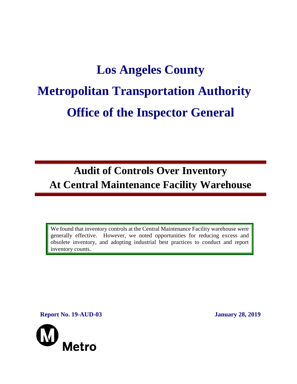# **Los Angeles County Metropolitan Transportation Authority Office of the Inspector General**

**Audit of Controls Over Inventory At Central Maintenance Facility Warehouse**

We found that inventory controls at the Central Maintenance Facility warehouse were generally effective. However, we noted opportunities for reducing excess and obsolete inventory, and adopting industrial best practices to conduct and report inventory counts.

**Report No. 19-AUD-03 January 28, 2019**

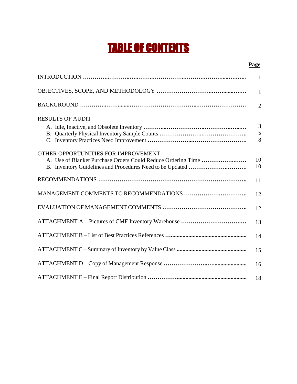## TABLE OF CONTENTS

#### **Page**

|                                                                                                     | $\mathbf{1}$   |
|-----------------------------------------------------------------------------------------------------|----------------|
|                                                                                                     | $\mathbf{1}$   |
|                                                                                                     | $\overline{2}$ |
| <b>RESULTS OF AUDIT</b>                                                                             | 3<br>5<br>8    |
| OTHER OPPORTUNITIES FOR IMPROVEMENT<br>A. Use of Blanket Purchase Orders Could Reduce Ordering Time | 10<br>10       |
|                                                                                                     | 11             |
|                                                                                                     | 12             |
|                                                                                                     | 12             |
|                                                                                                     | 13             |
|                                                                                                     | 14             |
|                                                                                                     | 15             |
|                                                                                                     | 16             |
|                                                                                                     | 18             |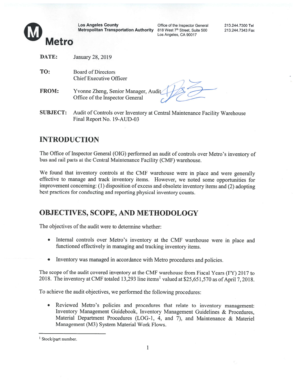

Los Angeles County Office of the Inspector General 213.244.7300 Tel Metropolitan Transportation Authority 818 West 7<sup>th</sup> Street, Suite 500 213.244.7343 Fax Los Angeles, CA 90017

| DATE:           | <b>January 28, 2019</b>                                                                                  |
|-----------------|----------------------------------------------------------------------------------------------------------|
| TO:             | <b>Board of Directors</b><br><b>Chief Executive Officer</b>                                              |
| <b>FROM:</b>    | Yvonne Zheng, Senior Manager, Audit<br>Office of the Inspector General                                   |
| <b>SUBJECT:</b> | Audit of Controls over Inventory at Central Maintenance Facility Warehouse<br>Final Report No. 19-AUD-03 |

## INTRODUCTION

The Office of Inspector General (OIG) performed an audit of controls over Metro's inventory of bus and rail parts at the Central Maintenance Facility (CMF) warehouse.

We found that inventory controls at the CMF warehouse were in <sup>p</sup>lace and were generally effective to manage and track inventory items. However, we noted some opportunities for improvement concerning:  $(1)$  disposition of excess and obsolete inventory items and  $(2)$  adopting best practices for conducting and reporting <sup>p</sup>hysical inventory counts.

## OBJECTIVES, SCOPE, AND METHODOLOGY

The objectives of the audit were to determine whether

- .• Internal controls over Metro's inventory at the CMF warehouse were in place and functioned effectively in managing and tracking inventory items.
- Inventory was manage<sup>d</sup> in accordance with Metro procedures and policies.

The scope of the audit covered inventory at the CMF warehouse from Fiscal Years (FY) 2017 to 2018. The inventory at CMF totaled 13,293 line items<sup>1</sup> valued at \$25,651,570 as of April 7, 2018

To achieve the audit objectives, we performed the following procedures:

. Reviewed Metro's policies and procedures that relate to inventory management: Inventory Management Guidebook, Inventory Management Guidelines & Procedures, Material Department Procedures (LOG-i , 4, and 7), and Maintenance & Materiel Management (M3) System Material Work Flows.

<sup>&</sup>lt;sup>1</sup> Stock/part number.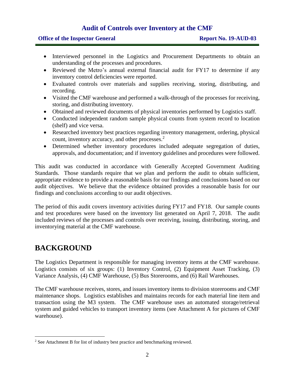#### **Office of the Inspector General <b>Report No. 19-AUD-03**

- Interviewed personnel in the Logistics and Procurement Departments to obtain an understanding of the processes and procedures.
- Reviewed the Metro's annual external financial audit for FY17 to determine if any inventory control deficiencies were reported.
- Evaluated controls over materials and supplies receiving, storing, distributing, and recording.
- Visited the CMF warehouse and performed a walk-through of the processes for receiving, storing, and distributing inventory.
- Obtained and reviewed documents of physical inventories performed by Logistics staff.
- Conducted independent random sample physical counts from system record to location (shelf) and vice versa.
- Researched inventory best practices regarding inventory management, ordering, physical count, inventory accuracy, and other processes. 2
- Determined whether inventory procedures included adequate segregation of duties, approvals, and documentation; and if inventory guidelines and procedures were followed.

This audit was conducted in accordance with Generally Accepted Government Auditing Standards. Those standards require that we plan and perform the audit to obtain sufficient, appropriate evidence to provide a reasonable basis for our findings and conclusions based on our audit objectives. We believe that the evidence obtained provides a reasonable basis for our findings and conclusions according to our audit objectives.

The period of this audit covers inventory activities during FY17 and FY18. Our sample counts and test procedures were based on the inventory list generated on April 7, 2018. The audit included reviews of the processes and controls over receiving, issuing, distributing, storing, and inventorying material at the CMF warehouse.

## **BACKGROUND**

 $\overline{a}$ 

The Logistics Department is responsible for managing inventory items at the CMF warehouse. Logistics consists of six groups: (1) Inventory Control, (2) Equipment Asset Tracking, (3) Variance Analysis, (4) CMF Warehouse, (5) Bus Storerooms, and (6) Rail Warehouses.

The CMF warehouse receives, stores, and issues inventory items to division storerooms and CMF maintenance shops. Logistics establishes and maintains records for each material line item and transaction using the M3 system. The CMF warehouse uses an automated storage/retrieval system and guided vehicles to transport inventory items (see Attachment A for pictures of CMF warehouse).

<sup>&</sup>lt;sup>2</sup> See Attachment B for list of industry best practice and benchmarking reviewed.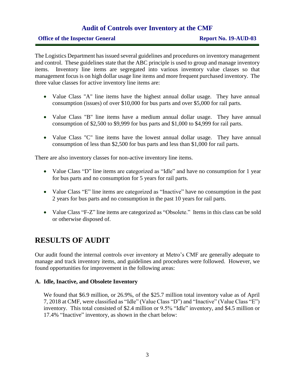#### **Office of the Inspector General <b>Report No. 19-AUD-03**

The Logistics Department has issued several guidelines and procedures on inventory management and control. These guidelines state that the ABC principle is used to group and manage inventory items. Inventory line items are segregated into various inventory value classes so that management focus is on high dollar usage line items and more frequent purchased inventory. The three value classes for active inventory line items are:

- Value Class "A" line items have the highest annual dollar usage. They have annual consumption (issues) of over \$10,000 for bus parts and over \$5,000 for rail parts.
- Value Class "B" line items have a medium annual dollar usage. They have annual consumption of \$2,500 to \$9,999 for bus parts and \$1,000 to \$4,999 for rail parts.
- Value Class "C" line items have the lowest annual dollar usage. They have annual consumption of less than \$2,500 for bus parts and less than \$1,000 for rail parts.

There are also inventory classes for non-active inventory line items.

- Value Class "D" line items are categorized as "Idle" and have no consumption for 1 year for bus parts and no consumption for 5 years for rail parts.
- Value Class "E" line items are categorized as "Inactive" have no consumption in the past 2 years for bus parts and no consumption in the past 10 years for rail parts.
- Value Class "F-Z" line items are categorized as "Obsolete." Items in this class can be sold or otherwise disposed of.

## **RESULTS OF AUDIT**

Our audit found the internal controls over inventory at Metro's CMF are generally adequate to manage and track inventory items, and guidelines and procedures were followed. However, we found opportunities for improvement in the following areas:

#### **A. Idle, Inactive, and Obsolete Inventory**

We found that \$6.9 million, or 26.9%, of the \$25.7 million total inventory value as of April 7, 2018 at CMF, were classified as "Idle" (Value Class "D") and "Inactive" (Value Class "E") inventory. This total consisted of \$2.4 million or 9.5% "Idle" inventory, and \$4.5 million or 17.4% "Inactive" inventory, as shown in the chart below: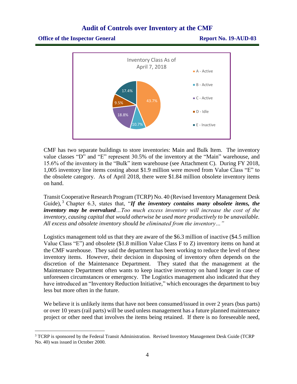**Office of the Inspector General <b>Report No. 19-AUD-03** 

 $\overline{a}$ 



CMF has two separate buildings to store inventories: Main and Bulk Item. The inventory value classes "D" and "E" represent 30.5% of the inventory at the "Main" warehouse, and 15.6% of the inventory in the "Bulk" item warehouse (see Attachment C). During FY 2018, 1,005 inventory line items costing about \$1.9 million were moved from Value Class "E" to the obsolete category. As of April 2018, there were \$1.84 million obsolete inventory items on hand.

Transit Cooperative Research Program (TCRP) No. 40 (Revised Inventory Management Desk Guide), <sup>3</sup> Chapter 6.3, states that, "*If the inventory contains many obsolete items, the inventory may be overvalued…Too much excess inventory will increase the cost of the inventory, causing capital that would otherwise be used more productively to be unavailable. All excess and obsolete inventory should be eliminated from the inventory…"*

Logistics management told us that they are aware of the \$6.3 million of inactive (\$4.5 million Value Class "E") and obsolete (\$1.8 million Value Class F to Z) inventory items on hand at the CMF warehouse. They said the department has been working to reduce the level of these inventory items. However, their decision in disposing of inventory often depends on the discretion of the Maintenance Department. They stated that the management at the Maintenance Department often wants to keep inactive inventory on hand longer in case of unforeseen circumstances or emergency. The Logistics management also indicated that they have introduced an "Inventory Reduction Initiative," which encourages the department to buy less but more often in the future.

We believe it is unlikely items that have not been consumed/issued in over 2 years (bus parts) or over 10 years (rail parts) will be used unless management has a future planned maintenance project or other need that involves the items being retained. If there is no foreseeable need,

<sup>3</sup> TCRP is sponsored by the Federal Transit Administration. Revised Inventory Management Desk Guide (TCRP No. 40) was issued in October 2000.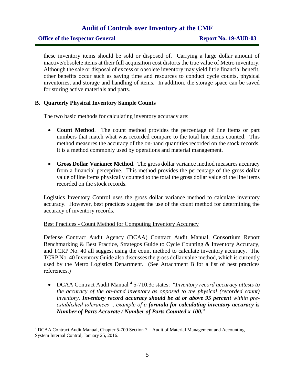$\overline{a}$ 

these inventory items should be sold or disposed of. Carrying a large dollar amount of inactive/obsolete items at their full acquisition cost distorts the true value of Metro inventory. Although the sale or disposal of excess or obsolete inventory may yield little financial benefit, other benefits occur such as saving time and resources to conduct cycle counts, physical inventories, and storage and handling of items. In addition, the storage space can be saved for storing active materials and parts.

#### **B. Quarterly Physical Inventory Sample Counts**

The two basic methods for calculating inventory accuracy are:

- **Count Method**. The count method provides the percentage of line items or part numbers that match what was recorded compare to the total line items counted. This method measures the accuracy of the on-hand quantities recorded on the stock records. It is a method commonly used by operations and material management.
- **Gross Dollar Variance Method**. The gross dollar variance method measures accuracy from a financial perceptive. This method provides the percentage of the gross dollar value of line items physically counted to the total the gross dollar value of the line items recorded on the stock records.

Logistics Inventory Control uses the gross dollar variance method to calculate inventory accuracy. However, best practices suggest the use of the count method for determining the accuracy of inventory records.

#### Best Practices - Count Method for Computing Inventory Accuracy

Defense Contract Audit Agency (DCAA) Contract Audit Manual, Consortium Report Benchmarking & Best Practice, Strategos Guide to Cycle Counting & Inventory Accuracy, and TCRP No. 40 all suggest using the count method to calculate inventory accuracy. The TCRP No. 40 Inventory Guide also discusses the gross dollar value method, which is currently used by the Metro Logistics Department. (See Attachment B for a list of best practices references.)

• DCAA Contract Audit Manual<sup>4</sup> 5-710.3c states: "*Inventory record accuracy attests to the accuracy of the on-hand inventory as opposed to the physical (recorded count) inventory. Inventory record accuracy should be at or above 95 percent within preestablished tolerances …example of a formula for calculating inventory accuracy is Number of Parts Accurate / Number of Parts Counted x 100.*"

<sup>4</sup> DCAA Contract Audit Manual, Chapter 5-700 Section 7 – Audit of Material Management and Accounting System Internal Control, January 25, 2016.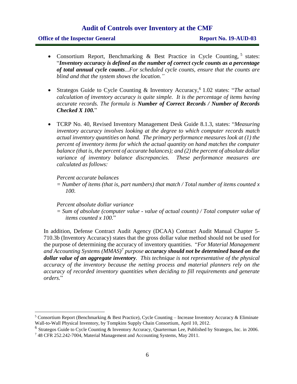#### **Office of the Inspector General <b>Report No. 19-AUD-03**

- Consortium Report, Benchmarking & Best Practice in Cycle Counting, <sup>5</sup> states: "*Inventory accuracy is defined as the number of correct cycle counts as a percentage of total annual cycle counts...For scheduled cycle counts, ensure that the counts are blind and that the system shows the location."*
- Strategos Guide to Cycle Counting & Inventory Accuracy, 6 1.02 states: "*The actual calculation of inventory accuracy is quite simple. It is the percentage of items having accurate records. The formula is Number of Correct Records / Number of Records Checked X 100.*"
- TCRP No. 40, Revised Inventory Management Desk Guide 8.1.3, states: "*Measuring inventory accuracy involves looking at the degree to which computer records match actual inventory quantities on hand. The primary performance measures look at (1) the percent of inventory items for which the actual quantity on hand matches the computer balance (that is, the percent of accurate balances); and (2) the percent of absolute dollar variance of inventory balance discrepancies. These performance measures are calculated as follows:*

#### *Percent accurate balances*

 $\overline{a}$ 

*= Number of items (that is, part numbers) that match / Total number of items counted x 100.*

*Percent absolute dollar variance* 

*= Sum of absolute (computer value - value of actual counts) / Total computer value of items counted x 100.*"

In addition, Defense Contract Audit Agency (DCAA) Contract Audit Manual Chapter 5- 710.3b (Inventory Accuracy) states that the gross dollar value method should not be used for the purpose of determining the accuracy of inventory quantities. "*For Material Management and Accounting Systems (MMAS)<sup>7</sup> purpose accuracy should not be determined based on the dollar value of an aggregate inventory. This technique is not representative of the physical accuracy of the inventory because the netting process and material planners rely on the accuracy of recorded inventory quantities when deciding to fill requirements and generate orders.*"

<sup>5</sup> Consortium Report (Benchmarking & Best Practice), Cycle Counting – Increase Inventory Accuracy & Eliminate Wall-to-Wall Physical Inventory, by Tompkins Supply Chain Consortium, April 10, 2012.

<sup>&</sup>lt;sup>6</sup> Strategos Guide to Cycle Counting & Inventory Accuracy, Quarterman Lee, Published by Strategos, Inc. in 2006.

<sup>7</sup> 48 CFR 252.242-7004, Material Management and Accounting Systems, May 2011.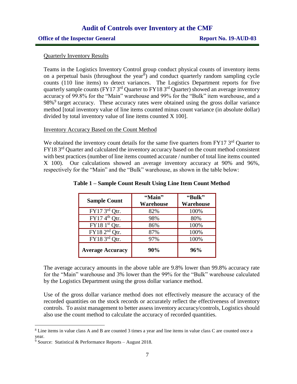#### **Office of the Inspector General <b>Report No. 19-AUD-03**

#### Quarterly Inventory Results

Teams in the Logistics Inventory Control group conduct physical counts of inventory items on a perpetual basis (throughout the year<sup>8</sup>) and conduct quarterly random sampling cycle counts (110 line items) to detect variances. The Logistics Department reports for five quarterly sample counts (FY17  $3<sup>rd</sup>$  Quarter to FY18  $3<sup>rd</sup>$  Quarter) showed an average inventory accuracy of 99.8% for the "Main" warehouse and 99% for the "Bulk" item warehouse, and a 98%<sup>9</sup> target accuracy. These accuracy rates were obtained using the gross dollar variance method [total inventory value of line items counted minus count variance (in absolute dollar) divided by total inventory value of line items counted X 100].

#### Inventory Accuracy Based on the Count Method

We obtained the inventory count details for the same five quarters from  $FY17 3<sup>rd</sup>$  Quarter to FY18 3<sup>rd</sup> Quarter and calculated the inventory accuracy based on the count method consistent with best practices (number of line items counted accurate / number of total line items counted X 100). Our calculations showed an average inventory accuracy at 90% and 96%, respectively for the "Main" and the "Bulk" warehouse, as shown in the table below:

| <b>Sample Count</b>                     | "Main"<br><b>Warehouse</b> | "Bulk"<br><b>Warehouse</b> |
|-----------------------------------------|----------------------------|----------------------------|
| FY17 3rd Qtr.                           | 82%                        | 100%                       |
| FY174 <sup>th</sup> Qtr.                | 98%                        | 80%                        |
| FY18 1st Qtr.                           | 86%                        | 100%                       |
| $\overline{FY}$ 18 2 <sup>nd</sup> Qtr. | 87%                        | 100%                       |
| FY18 3rd Otr.                           | 97%                        | 100%                       |
| <b>Average Accuracy</b>                 | 90%                        | 96%                        |

#### **Table 1 – Sample Count Result Using Line Item Count Method**

The average accuracy amounts in the above table are 9.8% lower than 99.8% accuracy rate for the "Main" warehouse and 3% lower than the 99% for the "Bulk" warehouse calculated by the Logistics Department using the gross dollar variance method.

Use of the gross dollar variance method does not effectively measure the accuracy of the recorded quantities on the stock records or accurately reflect the effectiveness of inventory controls. To assist management to better assess inventory accuracy/controls, Logistics should also use the count method to calculate the accuracy of recorded quantities.

 $\overline{a}$ 

<sup>&</sup>lt;sup>8</sup> Line items in value class A and B are counted 3 times a year and line items in value class C are counted once a year.

<sup>&</sup>lt;sup>9</sup> Source: Statistical & Performance Reports – August 2018.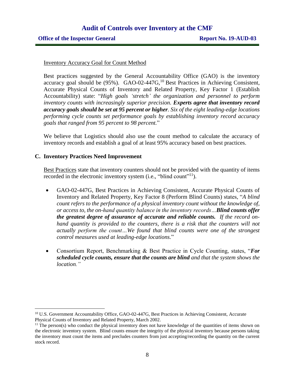#### Inventory Accuracy Goal for Count Method

Best practices suggested by the General Accountability Office (GAO) is the inventory accuracy goal should be (95%). GAO-02-447G, <sup>10</sup> Best Practices in Achieving Consistent, Accurate Physical Counts of Inventory and Related Property, Key Factor 1 (Establish Accountability) state: "*High goals 'stretch' the organization and personnel to perform inventory counts with increasingly superior precision. Experts agree that inventory record accuracy goals should be set at 95 percent or higher. Six of the eight leading-edge locations performing cycle counts set performance goals by establishing inventory record accuracy goals that ranged from 95 percent to 98 percent.*"

We believe that Logistics should also use the count method to calculate the accuracy of inventory records and establish a goal of at least 95% accuracy based on best practices.

#### **C. Inventory Practices Need Improvement**

 $\overline{a}$ 

Best Practices state that inventory counters should not be provided with the quantity of items recorded in the electronic inventory system (i.e., "blind count"<sup>11</sup>).

- GAO-02-447G, Best Practices in Achieving Consistent, Accurate Physical Counts of Inventory and Related Property, Key Factor 8 (Perform Blind Counts) states, "*A blind count refers to the performance of a physical inventory count without the knowledge of, or access to, the on-hand quantity balance in the inventory records…Blind counts offer the greatest degree of assurance of accurate and reliable counts. If the record onhand quantity is provided to the counters, there is a risk that the counters will not actually perform the count…We found that blind counts were one of the strongest control measures used at leading-edge locations.*"
- Consortium Report, Benchmarking & Best Practice in Cycle Counting, states, "*For scheduled cycle counts, ensure that the counts are blind and that the system shows the location."*

<sup>&</sup>lt;sup>10</sup> U.S. Government Accountability Office, GAO-02-447G, Best Practices in Achieving Consistent, Accurate Physical Counts of Inventory and Related Property, March 2002.

 $11$  The person(s) who conduct the physical inventory does not have knowledge of the quantities of items shown on the electronic inventory system. Blind counts ensure the integrity of the physical inventory because persons taking the inventory must count the items and precludes counters from just accepting/recording the quantity on the current stock record.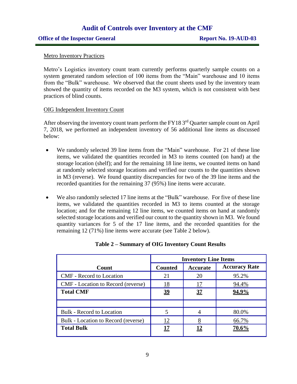#### Metro Inventory Practices

Metro's Logistics inventory count team currently performs quarterly sample counts on a system generated random selection of 100 items from the "Main" warehouse and 10 items from the "Bulk" warehouse. We observed that the count sheets used by the inventory team showed the quantity of items recorded on the M3 system, which is not consistent with best practices of blind counts.

#### OIG Independent Inventory Count

After observing the inventory count team perform the FY18 3<sup>rd</sup> Quarter sample count on April 7, 2018, we performed an independent inventory of 56 additional line items as discussed below:

- We randomly selected 39 line items from the "Main" warehouse. For 21 of these line items, we validated the quantities recorded in M3 to items counted (on hand) at the storage location (shelf); and for the remaining 18 line items, we counted items on hand at randomly selected storage locations and verified our counts to the quantities shown in M3 (reverse). We found quantity discrepancies for two of the 39 line items and the recorded quantities for the remaining 37 (95%) line items were accurate.
- We also randomly selected 17 line items at the "Bulk" warehouse. For five of these line items, we validated the quantities recorded in M3 to items counted at the storage location; and for the remaining 12 line items, we counted items on hand at randomly selected storage locations and verified our count to the quantity shown in M3. We found quantity variances for 5 of the 17 line items, and the recorded quantities for the remaining 12 (71%) line items were accurate (see Table 2 below).

|                                           | <b>Inventory Line Items</b> |           |                      |  |
|-------------------------------------------|-----------------------------|-----------|----------------------|--|
| Count                                     | <b>Counted</b>              | Accurate  | <b>Accuracy Rate</b> |  |
| <b>CMF</b> - Record to Location           | 21                          | 20        | 95.2%                |  |
| <b>CMF</b> - Location to Record (reverse) | 18                          | T)        | 94.4%                |  |
| <b>Total CMF</b>                          | <u>39</u>                   | <u>37</u> | 94.9%                |  |
|                                           |                             |           |                      |  |
| <b>Bulk - Record to Location</b>          |                             |           | 80.0%                |  |
| Bulk - Location to Record (reverse)       | 12                          |           | 66.7%                |  |
| <b>Total Bulk</b>                         |                             |           | 70.6%                |  |

**Table 2 – Summary of OIG Inventory Count Results**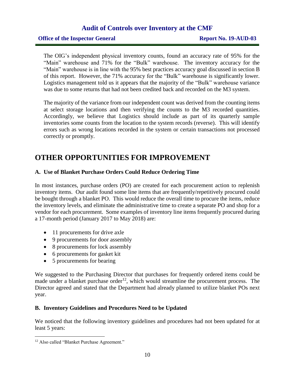The OIG's independent physical inventory counts, found an accuracy rate of 95% for the "Main" warehouse and 71% for the "Bulk" warehouse. The inventory accuracy for the "Main" warehouse is in line with the 95% best practices accuracy goal discussed in section B of this report. However, the 71% accuracy for the "Bulk" warehouse is significantly lower. Logistics management told us it appears that the majority of the "Bulk" warehouse variance was due to some returns that had not been credited back and recorded on the M3 system.

The majority of the variance from our independent count was derived from the counting items at select storage locations and then verifying the counts to the M3 recorded quantities. Accordingly, we believe that Logistics should include as part of its quarterly sample inventories some counts from the location to the system records (reverse). This will identify errors such as wrong locations recorded in the system or certain transactions not processed correctly or promptly.

## **OTHER OPPORTUNITIES FOR IMPROVEMENT**

#### **A. Use of Blanket Purchase Orders Could Reduce Ordering Time**

In most instances, purchase orders (PO) are created for each procurement action to replenish inventory items. Our audit found some line items that are frequently/repetitively procured could be bought through a blanket PO. This would reduce the overall time to procure the items, reduce the inventory levels, and eliminate the administrative time to create a separate PO and shop for a vendor for each procurement. Some examples of inventory line items frequently procured during a 17-month period (January 2017 to May 2018) are:

- 11 procurements for drive axle
- 9 procurements for door assembly
- 8 procurements for lock assembly
- 6 procurements for gasket kit
- 5 procurements for bearing

We suggested to the Purchasing Director that purchases for frequently ordered items could be made under a blanket purchase order<sup>12</sup>, which would streamline the procurement process. The Director agreed and stated that the Department had already planned to utilize blanket POs next year.

#### **B. Inventory Guidelines and Procedures Need to be Updated**

We noticed that the following inventory guidelines and procedures had not been updated for at least 5 years:

 $\overline{a}$ 

<sup>&</sup>lt;sup>12</sup> Also called "Blanket Purchase Agreement."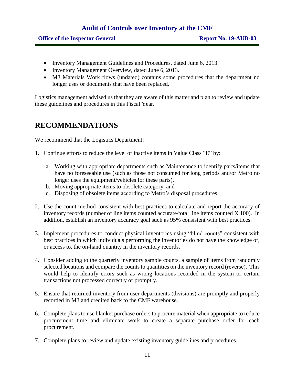- Inventory Management Guidelines and Procedures, dated June 6, 2013.
- Inventory Management Overview, dated June 6, 2013.
- M3 Materials Work flows (undated) contains some procedures that the department no longer uses or documents that have been replaced.

Logistics management advised us that they are aware of this matter and plan to review and update these guidelines and procedures in this Fiscal Year.

## **RECOMMENDATIONS**

We recommend that the Logistics Department:

- 1. Continue efforts to reduce the level of inactive items in Value Class "E" by:
	- a. Working with appropriate departments such as Maintenance to identify parts/items that have no foreseeable use (such as those not consumed for long periods and/or Metro no longer uses the equipment/vehicles for these parts),
	- b. Moving appropriate items to obsolete category, and
	- c. Disposing of obsolete items according to Metro's disposal procedures.
- 2. Use the count method consistent with best practices to calculate and report the accuracy of inventory records (number of line items counted accurate/total line items counted X 100). In addition, establish an inventory accuracy goal such as 95% consistent with best practices.
- 3. Implement procedures to conduct physical inventories using "blind counts" consistent with best practices in which individuals performing the inventories do not have the knowledge of, or access to, the on-hand quantity in the inventory records.
- 4. Consider adding to the quarterly inventory sample counts, a sample of items from randomly selected locations and compare the counts to quantities on the inventory record (reverse). This would help to identify errors such as wrong locations recorded in the system or certain transactions not processed correctly or promptly.
- 5. Ensure that returned inventory from user departments (divisions) are promptly and properly recorded in M3 and credited back to the CMF warehouse.
- 6. Complete plans to use blanket purchase orders to procure material when appropriate to reduce procurement time and eliminate work to create a separate purchase order for each procurement.
- 7. Complete plans to review and update existing inventory guidelines and procedures.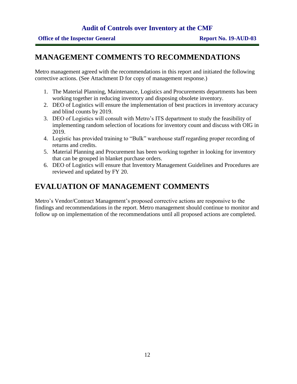## **MANAGEMENT COMMENTS TO RECOMMENDATIONS**

Metro management agreed with the recommendations in this report and initiated the following corrective actions. (See Attachment D for copy of management response.)

- 1. The Material Planning, Maintenance, Logistics and Procurements departments has been working together in reducing inventory and disposing obsolete inventory.
- 2. DEO of Logistics will ensure the implementation of best practices in inventory accuracy and blind counts by 2019.
- 3. DEO of Logistics will consult with Metro's ITS department to study the feasibility of implementing random selection of locations for inventory count and discuss with OIG in 2019.
- 4. Logistic has provided training to "Bulk" warehouse staff regarding proper recording of returns and credits.
- 5. Material Planning and Procurement has been working together in looking for inventory that can be grouped in blanket purchase orders.
- 6. DEO of Logistics will ensure that Inventory Management Guidelines and Procedures are reviewed and updated by FY 20.

## **EVALUATION OF MANAGEMENT COMMENTS**

Metro's Vendor/Contract Management's proposed corrective actions are responsive to the findings and recommendations in the report. Metro management should continue to monitor and follow up on implementation of the recommendations until all proposed actions are completed.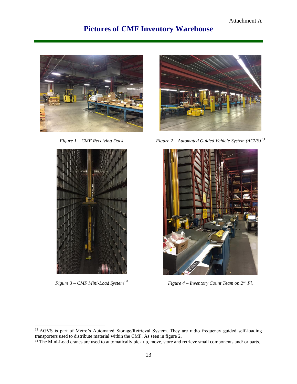## **Pictures of CMF Inventory Warehouse**





 $\overline{a}$ 



*Figure 1 – CMF Receiving Dock Figure 2 – Automated Guided Vehicle System (AGVS)<sup>13</sup>*



*Figure 3 – CMF Mini-Load System<sup>14</sup> Figure 4 – Inventory Count Team on 2nd Fl.*

<sup>&</sup>lt;sup>13</sup> AGVS is part of Metro's Automated Storage/Retrieval System. They are radio frequency guided self-loading transporters used to distribute material within the CMF. As seen in figure 2.

<sup>&</sup>lt;sup>14</sup> The Mini-Load cranes are used to automatically pick up, move, store and retrieve small components and/ or parts.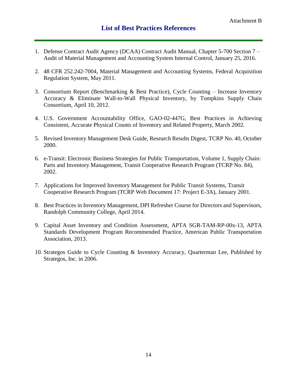- 1. Defense Contract Audit Agency (DCAA) Contract Audit Manual, Chapter 5-700 Section 7 Audit of Material Management and Accounting System Internal Control, January 25, 2016.
- 2. 48 CFR 252.242-7004, Material Management and Accounting Systems, Federal Acquisition Regulation System, May 2011.
- 3. Consortium Report (Benchmarking & Best Practice), Cycle Counting Increase Inventory Accuracy & Eliminate Wall-to-Wall Physical Inventory, by Tompkins Supply Chain Consortium, April 10, 2012.
- 4. U.S. Government Accountability Office, GAO-02-447G, Best Practices in Achieving Consistent, Accurate Physical Counts of Inventory and Related Property, March 2002.
- 5. Revised Inventory Management Desk Guide, Research Results Digest, TCRP No. 40, October 2000.
- 6. e-Transit: Electronic Business Strategies for Public Transportation, Volume 1, Supply Chain: Parts and Inventory Management, Transit Cooperative Research Program (TCRP No. 84), 2002.
- 7. Applications for Improved Inventory Management for Public Transit Systems, Transit Cooperative Research Program (TCRP Web Document 17: Project E-3A), January 2001.
- 8. Best Practices in Inventory Management, DPI Refresher Course for Directors and Supervisors, Randolph Community College, April 2014.
- 9. Capital Asset Inventory and Condition Assessment, APTA SGR-TAM-RP-00x-13, APTA Standards Development Program Recommended Practice, American Public Transportation Association, 2013.
- 10. Strategos Guide to Cycle Counting & Inventory Accuracy, Quarterman Lee, Published by Strategos, Inc. in 2006.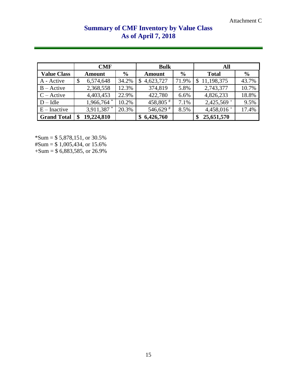#### **Summary of CMF Inventory by Value Class As of April 7, 2018**

|                    | <b>CMF</b>      |               | <b>Bulk</b>            |               | All                          |               |
|--------------------|-----------------|---------------|------------------------|---------------|------------------------------|---------------|
| <b>Value Class</b> | Amount          | $\frac{6}{9}$ | Amount                 | $\frac{6}{9}$ | <b>Total</b>                 | $\frac{0}{0}$ |
| A - Active         | 6,574,648<br>\$ | 34.2%         | 4,623,727              | 71.9%         | 11,198,375<br>$\mathbb{S}^-$ | 43.7%         |
| $B - Active$       | 2,368,558       | 12.3%         | 374,819                | 5.8%          | 2,743,377                    | 10.7%         |
| $C - Active$       | 4,403,453       | 22.9%         | 422,780                | 6.6%          | 4,826,233                    | 18.8%         |
| $D - Idle$         | $1,966,764$ *   | 10.2%         | $458,805$ <sup>#</sup> | 7.1%          | $2,425,569$ <sup>+</sup>     | 9.5%          |
| $E$ – Inactive     | $3,911,387$ *   | 20.3%         | $546,629$ <sup>#</sup> | 8.5%          | $4,458,016+$                 | 17.4%         |
| <b>Grand Total</b> | 19,224,810<br>S |               | 6,426,760              |               | 25,651,570<br>\$             |               |

\*Sum = \$ 5,878,151, or 30.5% #Sum = \$ 1,005,434, or 15.6%  $+Sum = $ 6,883,585, or 26.9\%$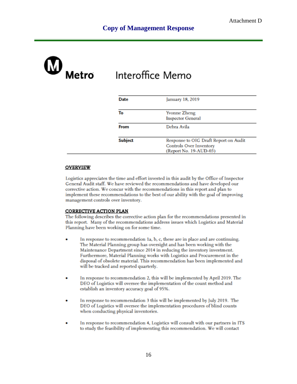## Metro Interoffice Memo

| Date           | January 18, 2019                      |  |
|----------------|---------------------------------------|--|
| To             | <b>Yvonne Zheng</b>                   |  |
|                | <b>Inspector General</b>              |  |
| From           | Debra Avila                           |  |
| <b>Subject</b> | Response to OIG Draft Report on Audit |  |
|                | <b>Controls Over Inventory</b>        |  |
|                | (Report No. 19-AUD-03)                |  |

#### **OVERVIEW**

Logistics appreciates the time and effort invested in this audit by the Office of Inspector General Audit staff. We have reviewed the recommendations and have developed our corrective action. We concur with the recommendations in this report and plan to implement these recommendations to the best of our ability with the goal of improving management controls over inventory.

#### **CORRECTIVE ACTION PLAN**

The following describes the corrective action plan for the recommendations presented in this report. Many of the recommendations address issues which Logistics and Material Planning have been working on for some time.

- In response to recommendation 1a, b, c, these are in place and are continuing. The Material Planning group has oversight and has been working with the Maintenance Department since 2014 in reducing the inventory investment. Furthermore, Material Planning works with Logistics and Procurement in the disposal of obsolete material. This recommendation has been implemented and will be tracked and reported quarterly.
- In response to recommendation 2, this will be implemented by April 2019. The DEO of Logistics will oversee the implementation of the count method and establish an inventory accuracy goal of 95%.
- In response to recommendation 3 this will be implemented by July 2019. The DEO of Logistics will oversee the implementation procedures of blind counts when conducting physical inventories.
- In response to recommendation 4, Logistics will consult with our partners in ITS to study the feasibility of implementing this recommendation. We will contact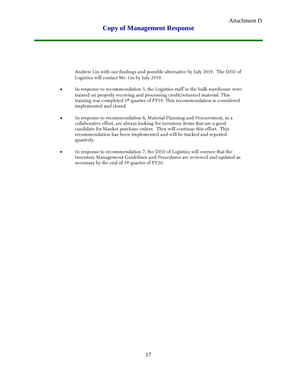Andrew Lin with our findings and possible alternative by July 2019. The DEO of Logistics will contact Mr. Lin by July 2019.

- In response to recommendation 5, the Logistics staff in the bulk warehouse were ۰ trained on properly receiving and processing credit/returned material. This training was completed 1<sup>st</sup> quarter of FY19. This recommendation is considered implemented and closed.
- In response to recommendation 6, Material Planning and Procurement, in a collaborative effort, are always looking for inventory items that are a good candidate for blanket purchase orders. They will continue this effort. This recommendation has been implemented and will be tracked and reported quarterly.
- In response to recommendation 7, the DEO of Logistics will oversee that the ٠ Inventory Management Guidelines and Procedures are reviewed and updated as necessary by the end of 1<sup>st</sup> quarter of FY20.